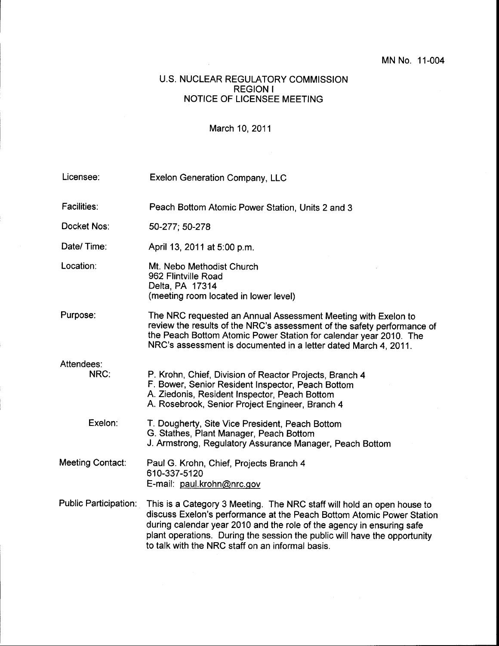## U.S. NUCLEAR REGULATORY COMMISSION REGION <sup>I</sup> NOTICE OF LICENSEE MEETING

## March 10,2011

| Licensee:                    | <b>Exelon Generation Company, LLC</b>                                                                                                                                                                                                                                                                                                                     |
|------------------------------|-----------------------------------------------------------------------------------------------------------------------------------------------------------------------------------------------------------------------------------------------------------------------------------------------------------------------------------------------------------|
| <b>Facilities:</b>           | Peach Bottom Atomic Power Station, Units 2 and 3                                                                                                                                                                                                                                                                                                          |
| Docket Nos:                  | 50-277; 50-278                                                                                                                                                                                                                                                                                                                                            |
| Date/Time:                   | April 13, 2011 at 5:00 p.m.                                                                                                                                                                                                                                                                                                                               |
| Location:                    | Mt. Nebo Methodist Church<br>962 Flintville Road<br>Delta, PA 17314<br>(meeting room located in lower level)                                                                                                                                                                                                                                              |
| Purpose:                     | The NRC requested an Annual Assessment Meeting with Exelon to<br>review the results of the NRC's assessment of the safety performance of<br>the Peach Bottom Atomic Power Station for calendar year 2010. The<br>NRC's assessment is documented in a letter dated March 4, 2011.                                                                          |
| Attendees:<br>NRC:           | P. Krohn, Chief, Division of Reactor Projects, Branch 4<br>F. Bower, Senior Resident Inspector, Peach Bottom<br>A. Ziedonis, Resident Inspector, Peach Bottom<br>A. Rosebrook, Senior Project Engineer, Branch 4                                                                                                                                          |
| Exelon:                      | T. Dougherty, Site Vice President, Peach Bottom<br>G. Stathes, Plant Manager, Peach Bottom<br>J. Armstrong, Regulatory Assurance Manager, Peach Bottom                                                                                                                                                                                                    |
| Meeting Contact:             | Paul G. Krohn, Chief, Projects Branch 4<br>610-337-5120<br>E-mail: paul.krohn@nrc.gov                                                                                                                                                                                                                                                                     |
| <b>Public Participation:</b> | This is a Category 3 Meeting. The NRC staff will hold an open house to<br>discuss Exelon's performance at the Peach Bottom Atomic Power Station<br>during calendar year 2010 and the role of the agency in ensuring safe<br>plant operations. During the session the public will have the opportunity<br>to talk with the NRC staff on an informal basis. |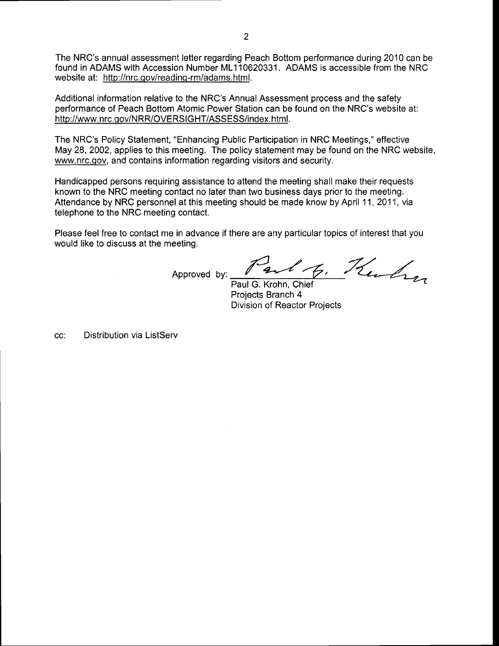The NRC's annual assessment letter regarding Peach Bottom performance during 2010 can be found in ADAMS with Accession Number ML110620331. ADAMS is accessible from the NRC website at: http://nrc.qov/reading-rm/adams.html.

Additional information relative to the NRC's Annual Assessment process and the safety performance of Peach Bottom Atomic Power Station can be found on the NRC's website at: http://www. nrc.qov/NRR/OVERSIGHT/ASSESS/index. html.

The NRC's Policy Statement, "Enhancing Public Participation in NRC Meetings," effective May 28,2002, applies to this meeting. The policy statement may be found on the NRC website, www.nrc.qov, and contains information regarding visitors and security.

Handicapped persons requiring assistance to attend the meeting shall make their requests known to the NRC meeting contact no later than two business days prior to the meeting. Attendance by NRC personnel at this meeting should be made know by April 11,2011, via telephone to the NRC meeting contact.

Please feel free to contact me in advance if there are any particular topics of interest that you would like to discuss at the meeting.

Approved by:  $\sqrt{2\sqrt{6}}$ ,  $\frac{7}{2}$ 

Paul G. Krohn, Chief<br>Projects Branch 4 Projects Branch 4<br>Division of Reactor Projects

Distribution via ListServCC: